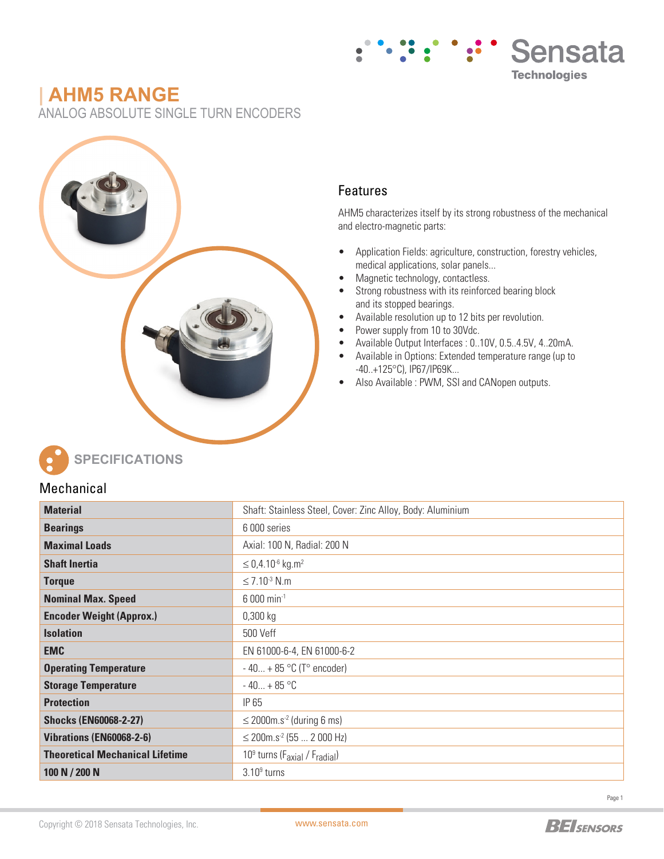# **| AHM5 RANGE**

ANALOG ABSOLUTE SINGLE TURN ENCODERS



### Features

AHM5 characterizes itself by its strong robustness of the mechanical and electro-magnetic parts:

Sensata

**Technologies** 

- Application Fields: agriculture, construction, forestry vehicles, medical applications, solar panels...
- Magnetic technology, contactless.
- Strong robustness with its reinforced bearing block and its stopped bearings.
- Available resolution up to 12 bits per revolution.
- Power supply from 10 to 30Vdc.
- Available Output Interfaces : 0..10V, 0.5..4.5V, 4..20mA.
- Available in Options: Extended temperature range (up to -40..+125°C), IP67/IP69K...
- Also Available : PWM, SSI and CANopen outputs.



**SPECIFICATIONS**

### Mechanical

| <b>Material</b>                        | Shaft: Stainless Steel, Cover: Zinc Alloy, Body: Aluminium        |  |  |  |  |  |
|----------------------------------------|-------------------------------------------------------------------|--|--|--|--|--|
| <b>Bearings</b>                        | 6 000 series                                                      |  |  |  |  |  |
| <b>Maximal Loads</b>                   | Axial: 100 N, Radial: 200 N                                       |  |  |  |  |  |
| <b>Shaft Inertia</b>                   | $\leq$ 0,4.10 <sup>-6</sup> kg.m <sup>2</sup>                     |  |  |  |  |  |
| <b>Torque</b>                          | $\leq$ 7.10 <sup>-3</sup> N.m.                                    |  |  |  |  |  |
| <b>Nominal Max. Speed</b>              | $6000$ min <sup>-1</sup>                                          |  |  |  |  |  |
| <b>Encoder Weight (Approx.)</b>        | $0,300$ kg                                                        |  |  |  |  |  |
| <b>Isolation</b>                       | 500 Veff                                                          |  |  |  |  |  |
| <b>EMC</b>                             | EN 61000-6-4, EN 61000-6-2                                        |  |  |  |  |  |
| <b>Operating Temperature</b>           | $-40 + 85$ °C (T° encoder)                                        |  |  |  |  |  |
| <b>Storage Temperature</b>             | $-40 + 85$ °C                                                     |  |  |  |  |  |
| <b>Protection</b>                      | IP 65                                                             |  |  |  |  |  |
| <b>Shocks (EN60068-2-27)</b>           | $\leq$ 2000m.s <sup>-2</sup> (during 6 ms)                        |  |  |  |  |  |
| Vibrations (EN60068-2-6)               | $\leq$ 200m.s <sup>-2</sup> (55  2 000 Hz)                        |  |  |  |  |  |
| <b>Theoretical Mechanical Lifetime</b> | 10 <sup>9</sup> turns (F <sub>axial</sub> / F <sub>radial</sub> ) |  |  |  |  |  |
| 100 N / 200 N                          | $3.109$ turns                                                     |  |  |  |  |  |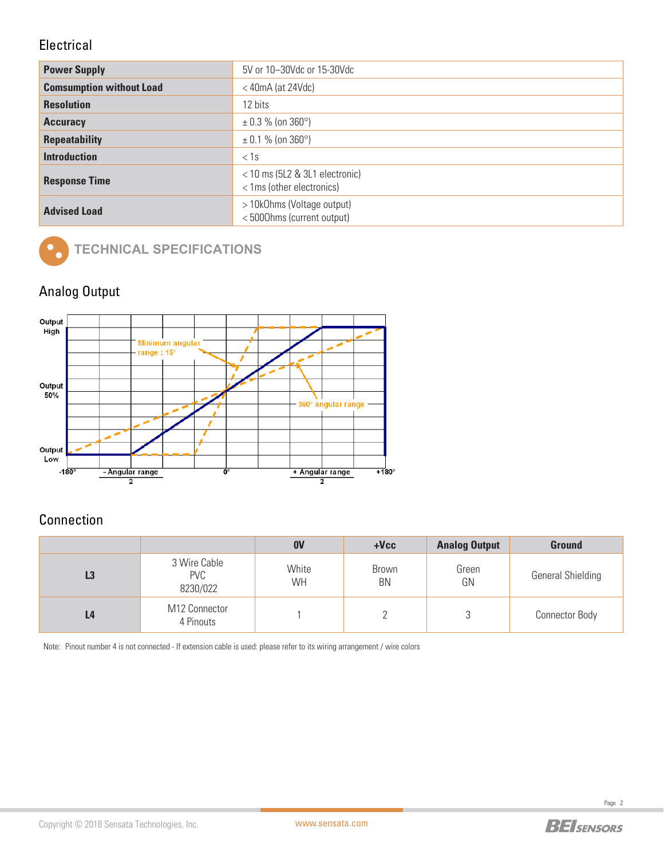### **Electrical**

| <b>Power Supply</b>             | 5V or 10-30Vdc or 15-30Vdc                                    |  |  |  |  |  |
|---------------------------------|---------------------------------------------------------------|--|--|--|--|--|
| <b>Comsumption without Load</b> | $<$ 40mA (at 24Vdc)                                           |  |  |  |  |  |
| <b>Resolution</b>               | 12 bits                                                       |  |  |  |  |  |
| <b>Accuracy</b>                 | $\pm$ 0.3 % (on 360°)                                         |  |  |  |  |  |
| <b>Repeatability</b>            | $\pm$ 0.1 % (on 360°)                                         |  |  |  |  |  |
| <b>Introduction</b>             | $<$ 1s                                                        |  |  |  |  |  |
| <b>Response Time</b>            | $<$ 10 ms (5L2 & 3L1 electronic)<br>< 1ms (other electronics) |  |  |  |  |  |
| <b>Advised Load</b>             | > 10k0hms (Voltage output)<br><5000hms (current output)       |  |  |  |  |  |



# **TECHNICAL SPECIFICATIONS**

## Analog Output



## **Connection**

|                |                                        | 0 <sub>V</sub>     | $+Vec$                    | <b>Analog Output</b> | <b>Ground</b>            |
|----------------|----------------------------------------|--------------------|---------------------------|----------------------|--------------------------|
| L <sub>3</sub> | 3 Wire Cable<br><b>PVC</b><br>8230/022 | White<br><b>WH</b> | <b>Brown</b><br><b>BN</b> | Green<br>GN          | <b>General Shielding</b> |
| L <sub>4</sub> | M12 Connector<br>4 Pinouts             |                    |                           |                      | <b>Connector Body</b>    |

Note:Pinout number 4 is not connected - If extension cable is used: please refer to its wiring arrangement / wire colors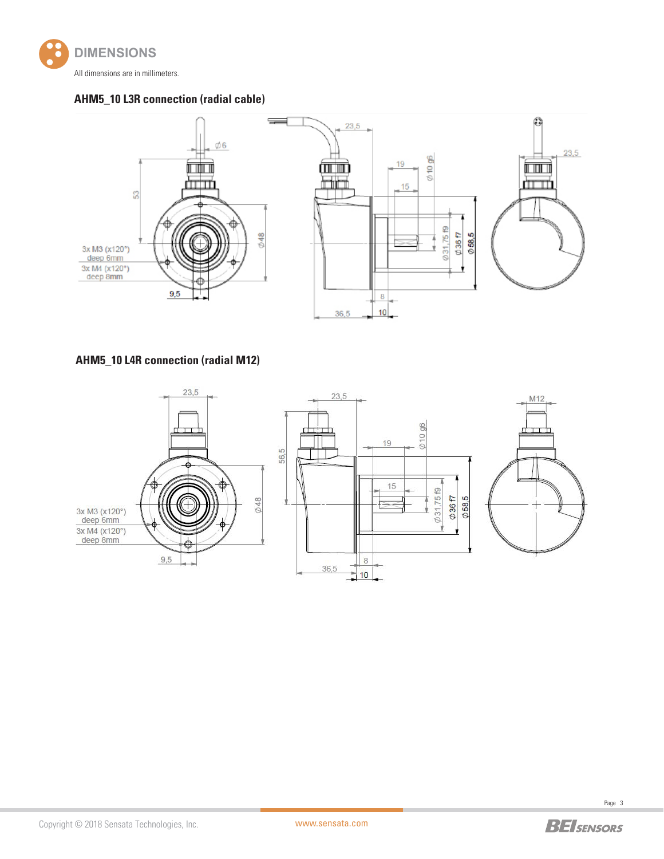

#### **AHM5\_10 L3R connection (radial cable)**



### **AHM5\_10 L4R connection (radial M12)**